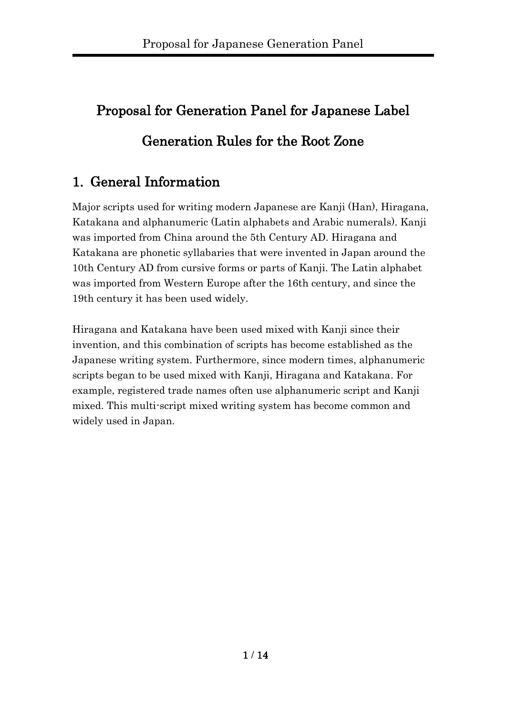# Proposal for Generation Panel for Japanese Label Generation Rules for the Root Zone

# 1. General Information

Major scripts used for writing modern Japanese are Kanji (Han), Hiragana, Katakana and alphanumeric (Latin alphabets and Arabic numerals). Kanji was imported from China around the 5th Century AD. Hiragana and Katakana are phonetic syllabaries that were invented in Japan around the 10th Century AD from cursive forms or parts of Kanji. The Latin alphabet was imported from Western Europe after the 16th century, and since the 19th century it has been used widely.

Hiragana and Katakana have been used mixed with Kanji since their invention, and this combination of scripts has become established as the Japanese writing system. Furthermore, since modern times, alphanumeric scripts began to be used mixed with Kanji, Hiragana and Katakana. For example, registered trade names often use alphanumeric script and Kanji mixed. This multi-script mixed writing system has become common and widely used in Japan.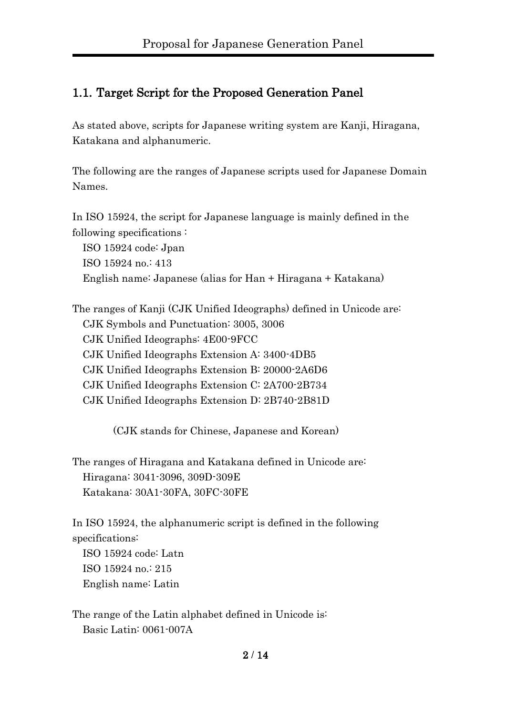#### 1.1. Target Script for the Proposed Generation Panel

As stated above, scripts for Japanese writing system are Kanji, Hiragana, Katakana and alphanumeric.

The following are the ranges of Japanese scripts used for Japanese Domain Names.

In ISO 15924, the script for Japanese language is mainly defined in the following specifications :

ISO 15924 code: Jpan ISO 15924 no.: 413 English name: Japanese (alias for Han + Hiragana + Katakana)

The ranges of Kanji (CJK Unified Ideographs) defined in Unicode are: CJK Symbols and Punctuation: 3005, 3006 CJK Unified Ideographs: 4E00-9FCC CJK Unified Ideographs Extension A: 3400-4DB5 CJK Unified Ideographs Extension B: 20000-2A6D6 CJK Unified Ideographs Extension C: 2A700-2B734 CJK Unified Ideographs Extension D: 2B740-2B81D

(CJK stands for Chinese, Japanese and Korean)

The ranges of Hiragana and Katakana defined in Unicode are: Hiragana: 3041-3096, 309D-309E Katakana: 30A1-30FA, 30FC-30FE

In ISO 15924, the alphanumeric script is defined in the following specifications:

ISO 15924 code: Latn ISO 15924 no.: 215 English name: Latin

The range of the Latin alphabet defined in Unicode is: Basic Latin: 0061-007A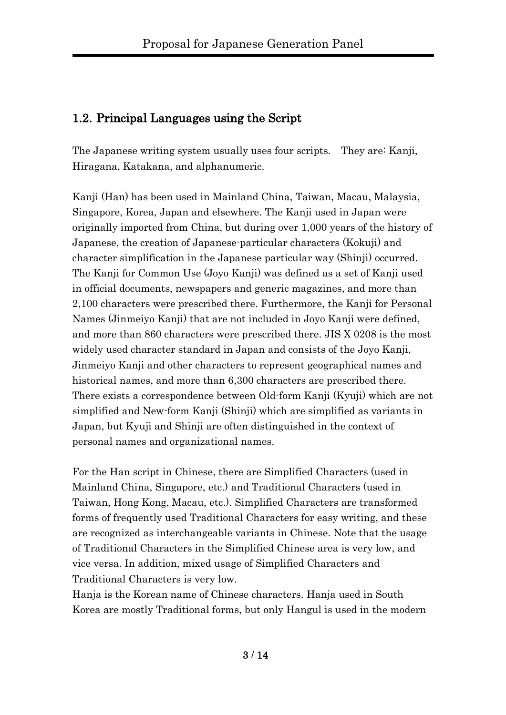#### 1.2. Principal Languages using the Script

The Japanese writing system usually uses four scripts. They are: Kanji, Hiragana, Katakana, and alphanumeric.

Kanji (Han) has been used in Mainland China, Taiwan, Macau, Malaysia, Singapore, Korea, Japan and elsewhere. The Kanji used in Japan were originally imported from China, but during over 1,000 years of the history of Japanese, the creation of Japanese-particular characters (Kokuji) and character simplification in the Japanese particular way (Shinji) occurred. The Kanji for Common Use (Joyo Kanji) was defined as a set of Kanji used in official documents, newspapers and generic magazines, and more than 2,100 characters were prescribed there. Furthermore, the Kanji for Personal Names (Jinmeiyo Kanji) that are not included in Joyo Kanji were defined, and more than 860 characters were prescribed there. JIS X 0208 is the most widely used character standard in Japan and consists of the Joyo Kanji, Jinmeiyo Kanji and other characters to represent geographical names and historical names, and more than 6,300 characters are prescribed there. There exists a correspondence between Old-form Kanji (Kyuji) which are not simplified and New-form Kanji (Shinji) which are simplified as variants in Japan, but Kyuji and Shinji are often distinguished in the context of personal names and organizational names.

For the Han script in Chinese, there are Simplified Characters (used in Mainland China, Singapore, etc.) and Traditional Characters (used in Taiwan, Hong Kong, Macau, etc.). Simplified Characters are transformed forms of frequently used Traditional Characters for easy writing, and these are recognized as interchangeable variants in Chinese. Note that the usage of Traditional Characters in the Simplified Chinese area is very low, and vice versa. In addition, mixed usage of Simplified Characters and Traditional Characters is very low.

Hanja is the Korean name of Chinese characters. Hanja used in South Korea are mostly Traditional forms, but only Hangul is used in the modern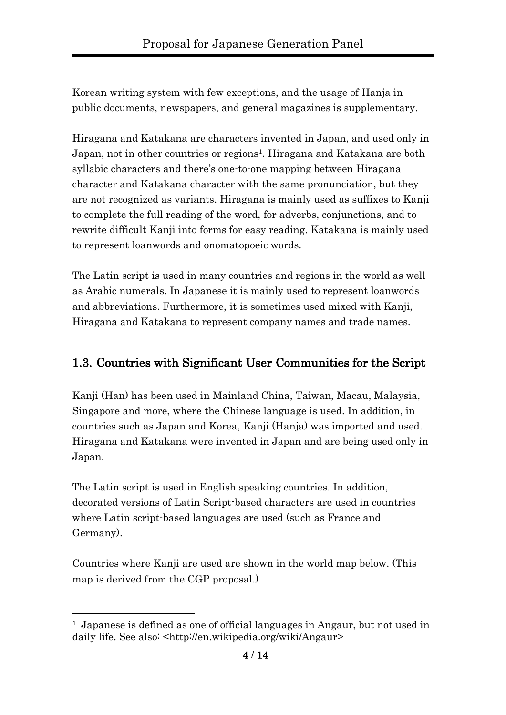Korean writing system with few exceptions, and the usage of Hanja in public documents, newspapers, and general magazines is supplementary.

Hiragana and Katakana are characters invented in Japan, and used only in Japan, not in other countries or regions<sup>1</sup>. Hiragana and Katakana are both syllabic characters and there's one-to-one mapping between Hiragana character and Katakana character with the same pronunciation, but they are not recognized as variants. Hiragana is mainly used as suffixes to Kanji to complete the full reading of the word, for adverbs, conjunctions, and to rewrite difficult Kanji into forms for easy reading. Katakana is mainly used to represent loanwords and onomatopoeic words.

The Latin script is used in many countries and regions in the world as well as Arabic numerals. In Japanese it is mainly used to represent loanwords and abbreviations. Furthermore, it is sometimes used mixed with Kanji, Hiragana and Katakana to represent company names and trade names.

#### 1.3. Countries with Significant User Communities for the Script

Kanji (Han) has been used in Mainland China, Taiwan, Macau, Malaysia, Singapore and more, where the Chinese language is used. In addition, in countries such as Japan and Korea, Kanji (Hanja) was imported and used. Hiragana and Katakana were invented in Japan and are being used only in Japan.

The Latin script is used in English speaking countries. In addition, decorated versions of Latin Script-based characters are used in countries where Latin script-based languages are used (such as France and Germany).

Countries where Kanji are used are shown in the world map below. (This map is derived from the CGP proposal.)

 $\overline{a}$ 

<sup>1</sup> Japanese is defined as one of official languages in Angaur, but not used in daily life. See also: <http://en.wikipedia.org/wiki/Angaur>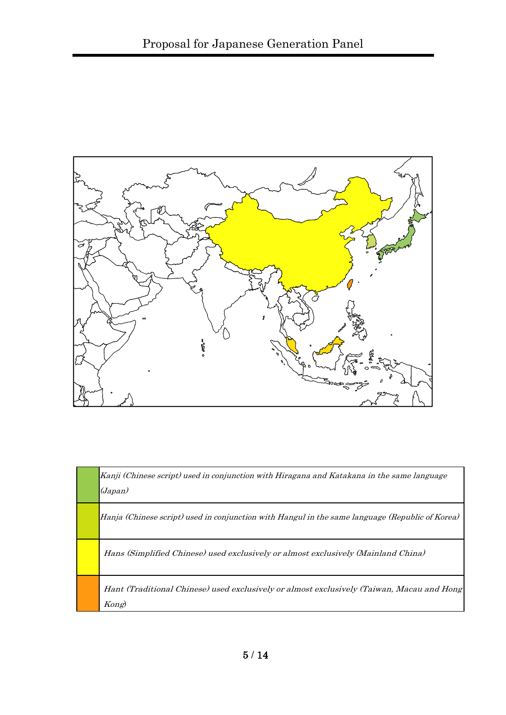

| Kanji (Chinese script) used in conjunction with Hiragana and Katakana in the same language<br>(Japan) |
|-------------------------------------------------------------------------------------------------------|
| Hanja (Chinese script) used in conjunction with Hangul in the same language (Republic of Korea)       |
| Hans (Simplified Chinese) used exclusively or almost exclusively (Mainland China)                     |
| Hant (Traditional Chinese) used exclusively or almost exclusively (Taiwan, Macau and Hong<br>Kong)    |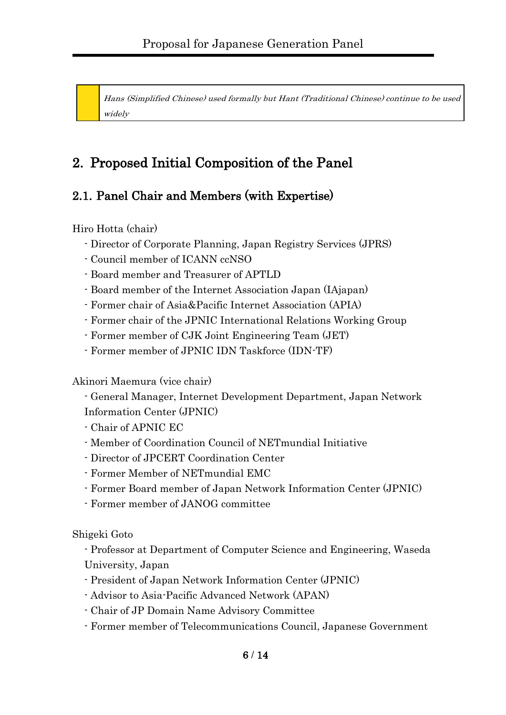Hans (Simplified Chinese) used formally but Hant (Traditional Chinese) continue to be used widely

# 2. Proposed Initial Composition of the Panel

## 2.1. Panel Chair and Members (with Expertise)

Hiro Hotta (chair)

- Director of Corporate Planning, Japan Registry Services (JPRS)
- Council member of ICANN ccNSO
- Board member and Treasurer of APTLD
- Board member of the Internet Association Japan (IAjapan)
- Former chair of Asia&Pacific Internet Association (APIA)
- Former chair of the JPNIC International Relations Working Group
- Former member of CJK Joint Engineering Team (JET)
- Former member of JPNIC IDN Taskforce (IDN-TF)

Akinori Maemura (vice chair)

- General Manager, Internet Development Department, Japan Network Information Center (JPNIC)

- Chair of APNIC EC
- Member of Coordination Council of NETmundial Initiative
- Director of JPCERT Coordination Center
- Former Member of NETmundial EMC
- Former Board member of Japan Network Information Center (JPNIC)
- Former member of JANOG committee

Shigeki Goto

- Professor at Department of Computer Science and Engineering, Waseda University, Japan

- President of Japan Network Information Center (JPNIC)
- Advisor to Asia-Pacific Advanced Network (APAN)
- Chair of JP Domain Name Advisory Committee
- Former member of Telecommunications Council, Japanese Government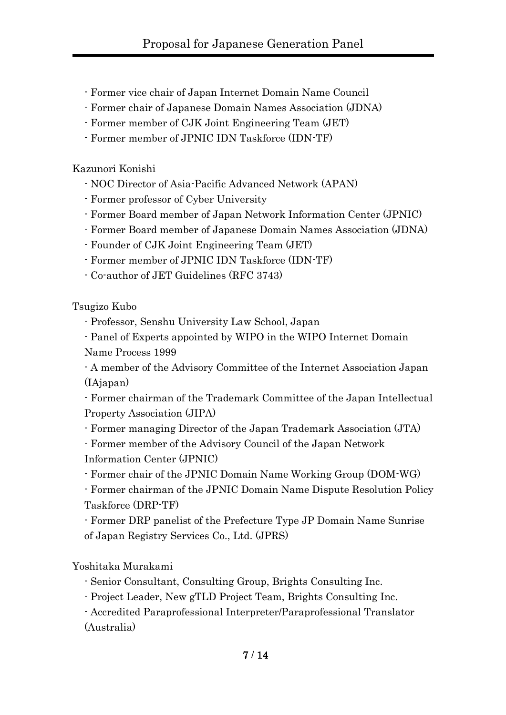- Former vice chair of Japan Internet Domain Name Council
- Former chair of Japanese Domain Names Association (JDNA)
- Former member of CJK Joint Engineering Team (JET)
- Former member of JPNIC IDN Taskforce (IDN-TF)

Kazunori Konishi

- NOC Director of Asia-Pacific Advanced Network (APAN)
- Former professor of Cyber University
- Former Board member of Japan Network Information Center (JPNIC)
- Former Board member of Japanese Domain Names Association (JDNA)
- Founder of CJK Joint Engineering Team (JET)
- Former member of JPNIC IDN Taskforce (IDN-TF)
- Co-author of JET Guidelines (RFC 3743)

Tsugizo Kubo

- Professor, Senshu University Law School, Japan
- Panel of Experts appointed by WIPO in the WIPO Internet Domain Name Process 1999

- A member of the Advisory Committee of the Internet Association Japan (IAjapan)

- Former chairman of the Trademark Committee of the Japan Intellectual Property Association (JIPA)

- Former managing Director of the Japan Trademark Association (JTA)

- Former member of the Advisory Council of the Japan Network Information Center (JPNIC)

- Former chair of the JPNIC Domain Name Working Group (DOM-WG)

- Former chairman of the JPNIC Domain Name Dispute Resolution Policy Taskforce (DRP-TF)

- Former DRP panelist of the Prefecture Type JP Domain Name Sunrise of Japan Registry Services Co., Ltd. (JPRS)

Yoshitaka Murakami

- Senior Consultant, Consulting Group, Brights Consulting Inc.
- Project Leader, New gTLD Project Team, Brights Consulting Inc.

- Accredited Paraprofessional Interpreter/Paraprofessional Translator (Australia)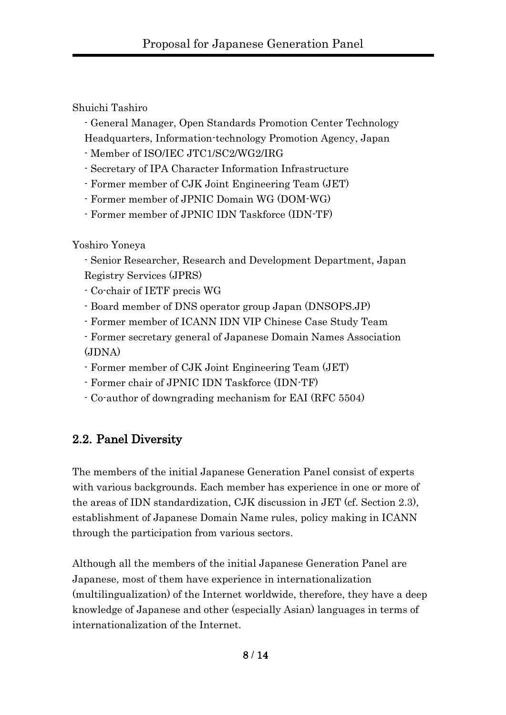Shuichi Tashiro

- General Manager, Open Standards Promotion Center Technology Headquarters, Information-technology Promotion Agency, Japan

- Member of ISO/IEC JTC1/SC2/WG2/IRG
- Secretary of IPA Character Information Infrastructure
- Former member of CJK Joint Engineering Team (JET)
- Former member of JPNIC Domain WG (DOM-WG)
- Former member of JPNIC IDN Taskforce (IDN-TF)

Yoshiro Yoneya

- Senior Researcher, Research and Development Department, Japan Registry Services (JPRS)

- Co-chair of IETF precis WG
- Board member of DNS operator group Japan (DNSOPS.JP)
- Former member of ICANN IDN VIP Chinese Case Study Team
- Former secretary general of Japanese Domain Names Association (JDNA)
- Former member of CJK Joint Engineering Team (JET)
- Former chair of JPNIC IDN Taskforce (IDN-TF)
- Co-author of downgrading mechanism for EAI (RFC 5504)

#### 2.2. Panel Diversity

The members of the initial Japanese Generation Panel consist of experts with various backgrounds. Each member has experience in one or more of the areas of IDN standardization, CJK discussion in JET (cf. Section 2.3), establishment of Japanese Domain Name rules, policy making in ICANN through the participation from various sectors.

Although all the members of the initial Japanese Generation Panel are Japanese, most of them have experience in internationalization (multilingualization) of the Internet worldwide, therefore, they have a deep knowledge of Japanese and other (especially Asian) languages in terms of internationalization of the Internet.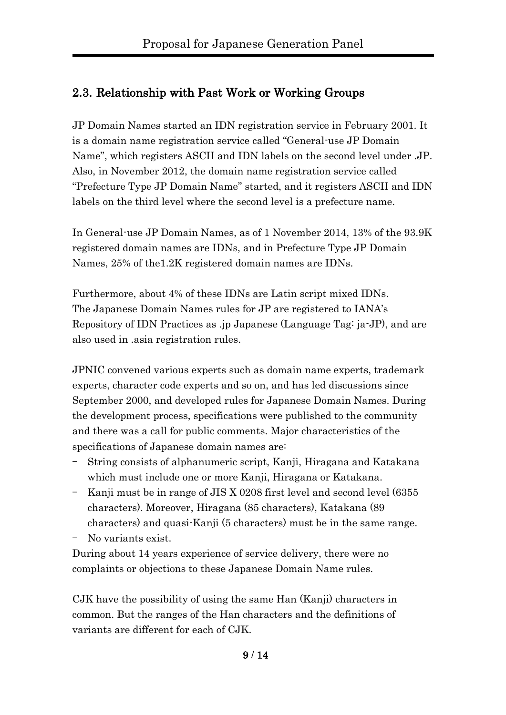## 2.3. Relationship with Past Work or Working Groups

JP Domain Names started an IDN registration service in February 2001. It is a domain name registration service called "General-use JP Domain Name", which registers ASCII and IDN labels on the second level under .JP. Also, in November 2012, the domain name registration service called "Prefecture Type JP Domain Name" started, and it registers ASCII and IDN labels on the third level where the second level is a prefecture name.

In General-use JP Domain Names, as of 1 November 2014, 13% of the 93.9K registered domain names are IDNs, and in Prefecture Type JP Domain Names, 25% of the1.2K registered domain names are IDNs.

Furthermore, about 4% of these IDNs are Latin script mixed IDNs. The Japanese Domain Names rules for JP are registered to IANA's Repository of IDN Practices as .jp Japanese (Language Tag: ja-JP), and are also used in .asia registration rules.

JPNIC convened various experts such as domain name experts, trademark experts, character code experts and so on, and has led discussions since September 2000, and developed rules for Japanese Domain Names. During the development process, specifications were published to the community and there was a call for public comments. Major characteristics of the specifications of Japanese domain names are:

- String consists of alphanumeric script, Kanji, Hiragana and Katakana which must include one or more Kanji, Hiragana or Katakana.
- Kanji must be in range of JIS X 0208 first level and second level (6355 characters). Moreover, Hiragana (85 characters), Katakana (89 characters) and quasi-Kanji (5 characters) must be in the same range.

No variants exist.

During about 14 years experience of service delivery, there were no complaints or objections to these Japanese Domain Name rules.

CJK have the possibility of using the same Han (Kanji) characters in common. But the ranges of the Han characters and the definitions of variants are different for each of CJK.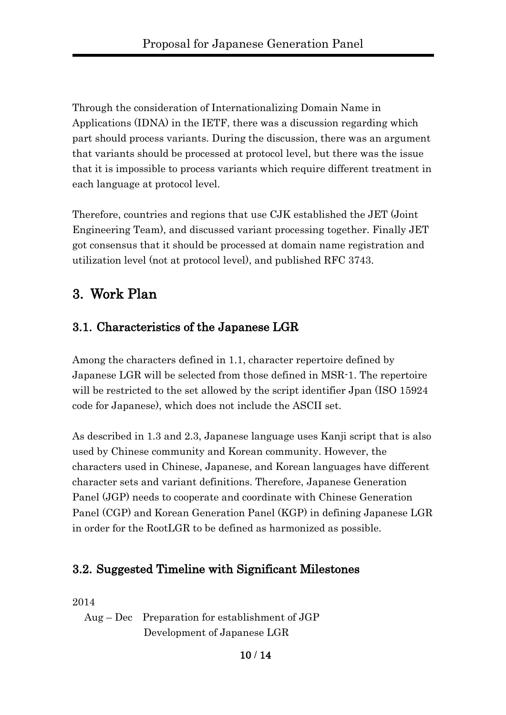Through the consideration of Internationalizing Domain Name in Applications (IDNA) in the IETF, there was a discussion regarding which part should process variants. During the discussion, there was an argument that variants should be processed at protocol level, but there was the issue that it is impossible to process variants which require different treatment in each language at protocol level.

Therefore, countries and regions that use CJK established the JET (Joint Engineering Team), and discussed variant processing together. Finally JET got consensus that it should be processed at domain name registration and utilization level (not at protocol level), and published RFC 3743.

## 3. Work Plan

## 3.1. Characteristics of the Japanese LGR

Among the characters defined in 1.1, character repertoire defined by Japanese LGR will be selected from those defined in MSR-1. The repertoire will be restricted to the set allowed by the script identifier Jpan (ISO 15924 code for Japanese), which does not include the ASCII set.

As described in 1.3 and 2.3, Japanese language uses Kanji script that is also used by Chinese community and Korean community. However, the characters used in Chinese, Japanese, and Korean languages have different character sets and variant definitions. Therefore, Japanese Generation Panel (JGP) needs to cooperate and coordinate with Chinese Generation Panel (CGP) and Korean Generation Panel (KGP) in defining Japanese LGR in order for the RootLGR to be defined as harmonized as possible.

#### 3.2. Suggested Timeline with Significant Milestones

2014

Aug – Dec Preparation for establishment of JGP Development of Japanese LGR

10 / 14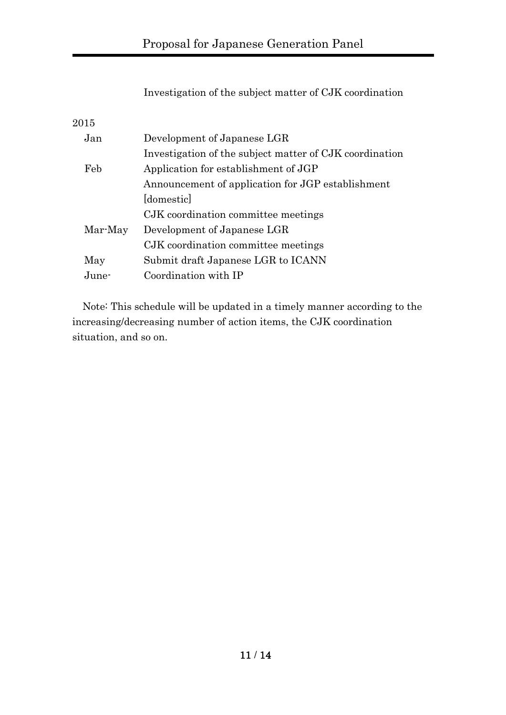Investigation of the subject matter of CJK coordination

2015

| Jan     | Development of Japanese LGR                             |
|---------|---------------------------------------------------------|
|         | Investigation of the subject matter of CJK coordination |
| Feb     | Application for establishment of JGP                    |
|         | Announcement of application for JGP establishment       |
|         | domestic                                                |
|         | CJK coordination committee meetings                     |
| Mar-May | Development of Japanese LGR                             |
|         | CJK coordination committee meetings                     |
| May     | Submit draft Japanese LGR to ICANN                      |
| June-   | Coordination with IP                                    |
|         |                                                         |

 Note: This schedule will be updated in a timely manner according to the increasing/decreasing number of action items, the CJK coordination situation, and so on.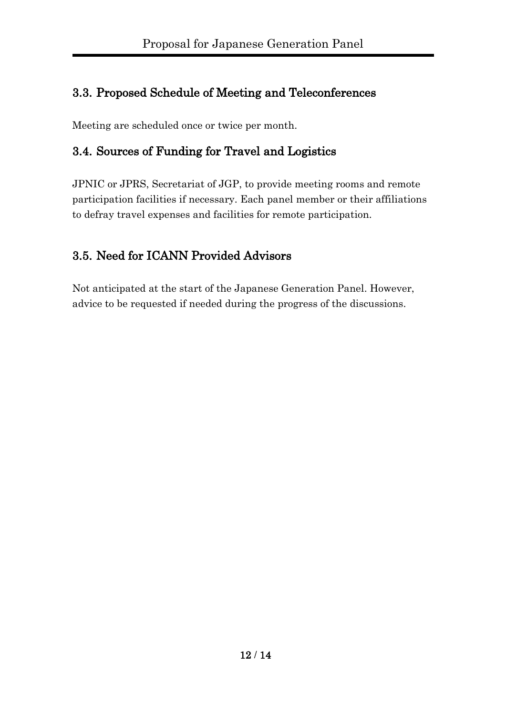## 3.3. Proposed Schedule of Meeting and Teleconferences

Meeting are scheduled once or twice per month.

#### 3.4. Sources of Funding for Travel and Logistics

JPNIC or JPRS, Secretariat of JGP, to provide meeting rooms and remote participation facilities if necessary. Each panel member or their affiliations to defray travel expenses and facilities for remote participation.

## 3.5. Need for ICANN Provided Advisors

Not anticipated at the start of the Japanese Generation Panel. However, advice to be requested if needed during the progress of the discussions.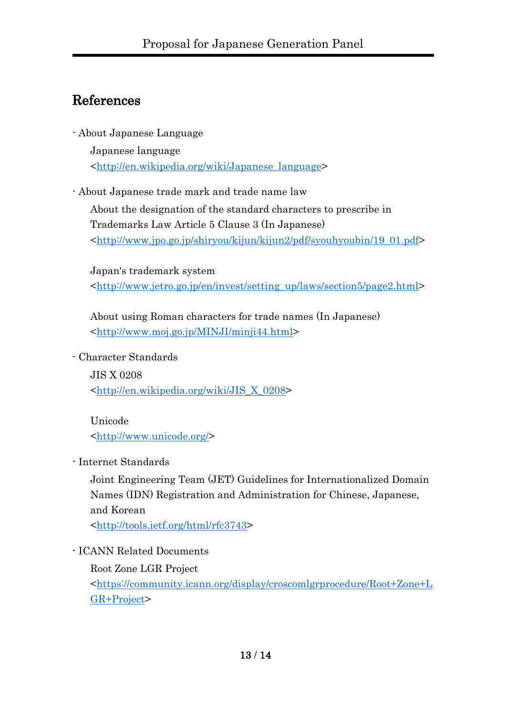# References

- About Japanese Language

Japanese language [<http://en.wikipedia.org/wiki/Japanese\\_language>](http://en.wikipedia.org/wiki/Japanese_language)

- About Japanese trade mark and trade name law

About the designation of the standard characters to prescribe in Trademarks Law Article 5 Clause 3 (In Japanese) [<http://www.jpo.go.jp/shiryou/kijun/kijun2/pdf/syouhyoubin/19\\_01.pdf>](http://www.jpo.go.jp/shiryou/kijun/kijun2/pdf/syouhyoubin/19_01.pdf)

Japan's trademark system [<http://www.jetro.go.jp/en/invest/setting\\_up/laws/section5/page2.html>](http://www.jetro.go.jp/en/invest/setting_up/laws/section5/page2.html)

About using Roman characters for trade names (In Japanese) [<http://www.moj.go.jp/MINJI/minji44.html>](http://www.moj.go.jp/MINJI/minji44.html)

- Character Standards

JIS X 0208 [<http://en.wikipedia.org/wiki/JIS\\_X\\_0208>](http://en.wikipedia.org/wiki/JIS_X_0208)

Unicode [<http://www.unicode.org/>](http://www.unicode.org/)

- Internet Standards

Joint Engineering Team (JET) Guidelines for Internationalized Domain Names (IDN) Registration and Administration for Chinese, Japanese, and Korean

[<http://tools.ietf.org/html/rfc3743>](http://tools.ietf.org/html/rfc3743)

- ICANN Related Documents

Root Zone LGR Project

[<https://community.icann.org/display/croscomlgrprocedure/Root+Zone+L](https://community.icann.org/display/croscomlgrprocedure/Root+Zone+LGR+Project) [GR+Project>](https://community.icann.org/display/croscomlgrprocedure/Root+Zone+LGR+Project)